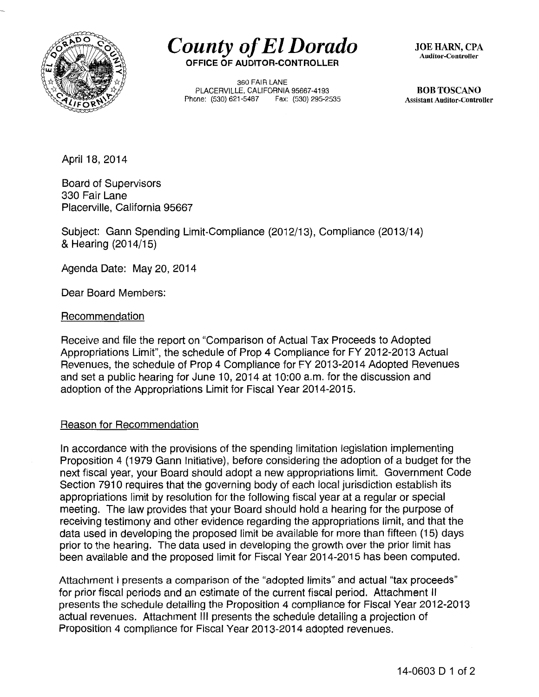

*County of ElDorado*  **OFFICE OF AUDITOR-CONTROLLER** 

360 FAIR LANE PLACERVILLE, CALIFORNIA 95667-4193 Phone: (530) 621-5487 Fax: (530) 295-2535 JOE HARN, CPA Auditor-Controller

BOB TOSCANO Assistant Auditor-Controller

April 18, 2014

Board of Supervisors 330 Fair Lane Placerville, California 95667

Subject: Gann Spending Limit-Compliance (2012/13), Compliance (2013/14) & Hearing (2014/15)

Agenda Date: May 20, 2014

Dear Board Members:

Recommendation

Receive and file the report on "Comparison of Actual Tax Proceeds to Adopted Appropriations Limit", the schedule of Prop 4 Compliance for FY 2012-2013 Actual Revenues, the schedule of Prop 4 Compliance for FY 2013-2014 Adopted Revenues and set a public hearing for June 10, 2014 at 10:00 a.m. for the discussion and adoption of the Appropriations Limit for Fiscal Year 2014-2015.

## Reason for Recommendation

In accordance with the provisions of the spending limitation legislation implementing Proposition 4 (1979 Gann Initiative), before considering the adoption of a budget for the next fiscal year, your Board should adopt a new appropriations limit. Government Code Section 7910 requires that the governing body of each local jurisdiction establish its appropriations limit by resolution for the following fiscal year at a regular or special meeting. The law provides that your Board should hold a hearing for the purpose of receiving testimony and other evidence regarding the appropriations limit, and that the data used in developing the proposed limit be available for more than fifteen (15) days prior to the hearing. The data used in developing the growth over the prior limit has been available and the proposed limit for Fiscal Year 2014-2015 has been computed.

Attachment I presents a comparison of the "adopted limits" and actual "tax proceeds" for prior fiscal periods and an estimate of the current fiscal period. Attachment II presents the schedule detailing the Proposition 4 compliance for Fiscal Year 2012-2013 actual revenues. Attachment Ill presents the schedule detailing a projection of Proposition 4 compliance for Fiscal Year 2013-2014 adopted revenues.